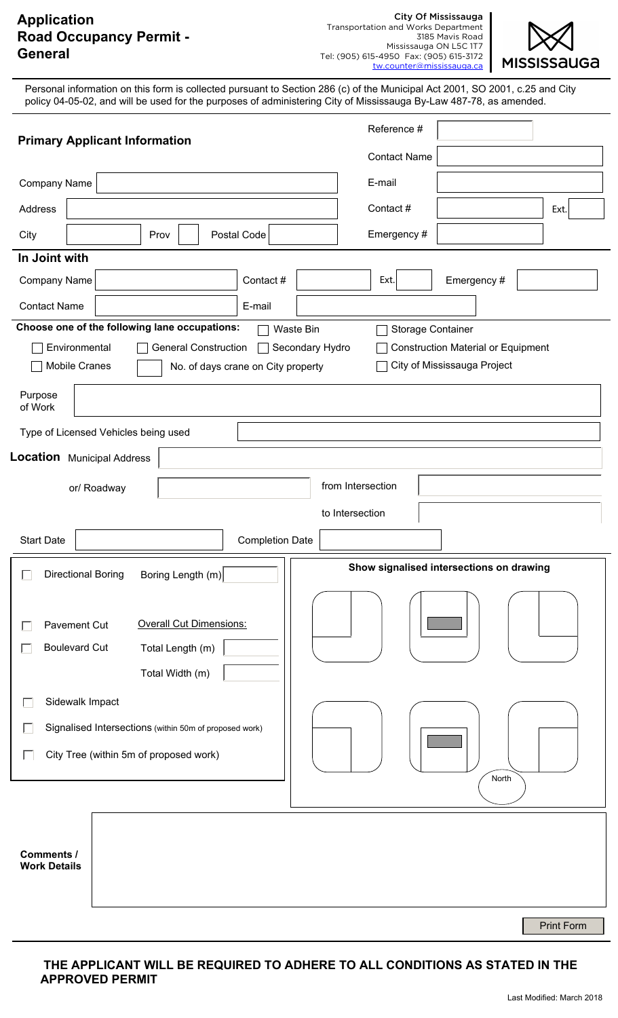# **Application Road Occupancy Permit - General**



Tel: (905) 615-4950 Fax: (905) 615-3172 tw.counter@mississauga.ca Personal information on this form is collected pursuant to Section 286 (c) of the Municipal Act 2001, SO 2001, c.25 and City policy 04-05-02, and will be used for the purposes of administering City of Mississauga By-Law 487-78, as amended. Reference # **Primary Applicant Information** Contact Name Company Name E-mail Contact  $\#$   $\qquad$  Ext. Address City | Prov | Postal Code Emergency # **In Joint with** Company Name Contact # | Ext. | Emergency # Ext. Contact Name E-mail **Choose one of the following lane occupations:** Waste Bin Storage Container Construction Material or Equipment Environmental General Construction Secondary Hydro Mobile Cranes No. of days crane on City property **□ City of Mississauga Project** Purpose of Work Type of Licensed Vehicles being used **Location** Municipal Address or/ Roadway **from Intersection** to Intersection Start Date | Completion Date **Show signalised intersections on drawing** П Directional Boring Boring Length (m) Pavement Cut **Overall Cut Dimensions:** Г Boulevard Cut Total Length (m)  $\Box$ Total Width (m) Sidewalk Impact Г Signalised Intersections (within 50m of proposed work) П  $\Box$ City Tree (within 5m of proposed work) North **Comments / Work Details**

Print Form

### **THE APPLICANT WILL BE REQUIRED TO ADHERE TO ALL CONDITIONS AS STATED IN THE APPROVED PERMIT**